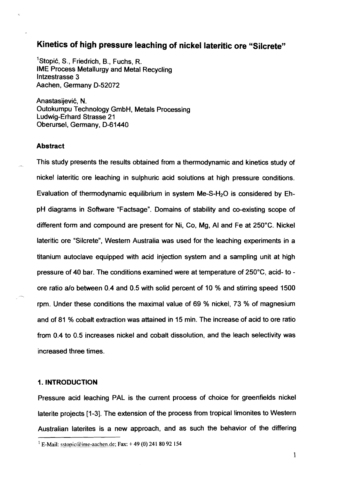# **Kinetics of high pressure leaching of nickel lateritic ore "Silcrete"**

<sup>1</sup>Stopić, S., Friedrich, B., Fuchs, R. IME Process Metallurgy and Metal Recycling lntzestrasse 3 Aachen, Germany D-52072

Anastasijević, N. Outokumpu Technology GmbH, Metals Processing Ludwig-Erhard Strasse 21 Oberursel, Germany, D-61440

# **Abstract**

This study presents the results obtained from a thermodynamic and kinetics study of nickel lateritic ore leaching in sulphuric acid solutions at high pressure conditions. Evaluation of thermodynamic equilibrium in system Me-S-H<sub>2</sub>O is considered by EhpH diagrams in Software "Factsage". Domains of stability and CO-existing scope of different form and compound are present for Ni, Co, Mg, Al and Fe at 250°C. Nickel lateritic ore "Silcrete", Western Australia was used for the leaching experiments in a titanium autoclave equipped with acid injection system and a sampling unit at high pressure of 40 bar. The conditions examined were at temperature of 250°C, acid- to ore ratio a/o between 0.4 and 0.5 with solid percent of 10 % and stirring speed 1500 rpm. Under these conditions the maximal value of 69 % nickel, 73 % of magnesium and of 81 % cobalt extraction was attained in 15 min. The increase of acid to ore ratio from 0.4 to 0.5 increases nickel and cobalt dissolution, and the leach selectivity was increased three times.

# **1. INTRODUCTION**

Pressure acid leaching PAL is the current process of choice for greenfields nickel laterite projects [I-31. The extension of the process from tropical limonites to Western Australian laterites is a new approach, and as such the behavior of the differing

<sup>&</sup>lt;sup>1</sup> E-Mail: sstopic@ime-aachen.de; **Fax:** +49 (0) 241 80 92 154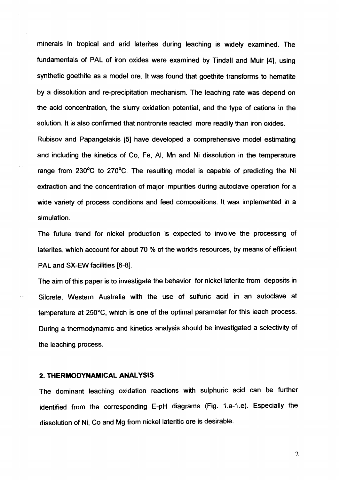minerals in tropical and arid laterites during leaching is widely examined. The fundamentals of PAL of iron oxides were examined by Tindall and Muir **[4],** using synthetic goethite as a model ore. It was found that goethite transforms to hematite by a dissolution and re-precipitation mechanism. The leaching rate was depend on the acid concentration, the slurry oxidation potential, and the type of cations in the solution. It is also confirmed that nontronite reacted more readily than iron oxides.

Rubisov and Papangelakis [5] have developed a comprehensive model estimating and including the kinetics of Co, Fe, Al, Mn and Ni dissolution in the temperature range from 230°C to 270°C. The resulting model is capable of predicting the Ni extraction and the concentration of major impurities during autoclave operation for a wide variety of process conditions and feed compositions. It was implemented in a simulation.

The future trend for nickel production is expected to involve the processing of laterites, which account for about 70 % of the world's resources, by means of efficient PAL and SX-EW facilities **[6-81.** 

The aim of this paper is to investigate the behavior for nickel laterite from deposits in Silcrete, Western Australia with the use of sulfuric acid in an autoclave at temperature at 250°C, which is one of the optimal parameter for this leach process. During a thermodynamic and kinetics analysis should be investigated a selectivity of the leaching process.

#### **2. THERMODYNAMICAL ANALYSIS**

The dominant leaching oxidation reactions with sulphuric acid can be further identified from the corresponding E-pH diagrams (Fig. 1.a-1.e). Especially the dissolution of Ni, Co and Mg from nickel lateritic ore is desirable.

 $\overline{2}$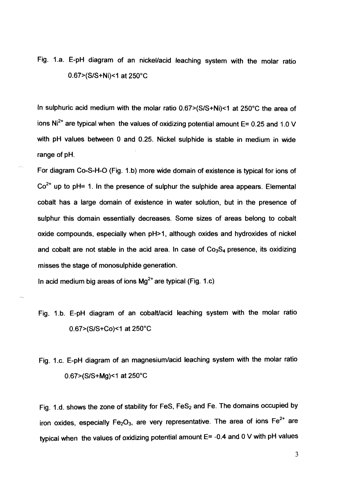Fig. 1.a. E-pH diagram of an nickel/acid leaching system with the molar ratio 0.67>(S/S+Ni)<1 at 250°C

In sulphuric acid medium with the molar ratio  $0.67 \times (S/S+Ni) \times 1$  at 250°C the area of ions  $Ni<sup>2+</sup>$  are typical when the values of oxidizing potential amount E= 0.25 and 1.0 V with pH values between **0** and 0.25. Nickel sulphide is stable in medium in wide range of pH.

For diagram Co-S-H-O (Fig. 1.b) more wide domain of existence is typical for ions of  $Co<sup>2+</sup>$  up to pH= 1. In the presence of sulphur the sulphide area appears. Elemental cobalt has a large domain of existence in water solution, but in the presence of sulphur this domain essentially decreases. Some sizes of areas belong to cobalt oxide compounds, especially when pH>1, although oxides and hydroxides of nickel and cobalt are not stable in the acid area. In case of  $Co<sub>3</sub>S<sub>4</sub>$  presence, its oxidizing misses the stage of monosulphide generation.

In acid medium big areas of ions  $Mg^{2+}$  are typical (Fig. 1.c)

- Fig. 1.b. E-pH diagram of an cobalt/acid leaching system with the molar ratio 0.67>(S/S+Co)<1 at 250°C
- Fig. 1.c. E-pH diagram of an magnesium/acid leaching system with the molar ratio 0.67>(S/S+Mg)<1 at 250°C

Fig. 1.d. shows the zone of stability for FeS,  $FeS<sub>2</sub>$  and Fe. The domains occupied by iron oxides, especially  $Fe<sub>2</sub>O<sub>3</sub>$ , are very representative. The area of ions  $Fe<sup>2+</sup>$  are typical when the values of oxidizing potential amount E= -0.4 and 0 V with pH values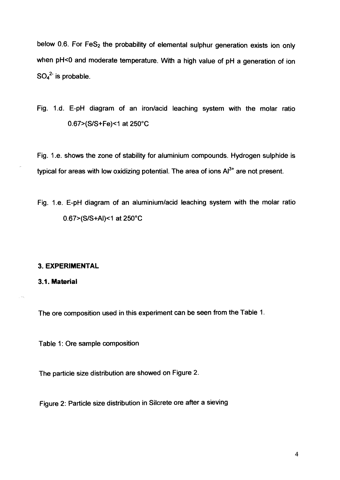below 0.6. For  $FeS<sub>2</sub>$  the probability of elemental sulphur generation exists ion only when pH<0 and moderate temperature. With a high value of pH a generation of ion  $SO_4^2$  is probable.

Fig. 1.d. E-pH diagram of an iron/acid leaching system with the molar ratio 0.67>(S/S+Fe)<1 at 250°C

Fig. 1 .e. shows the Zone of stability for aluminium compounds. Hydrogen sulphide is typical for areas with low oxidizing potential. The area of ions  $Al^{3+}$  are not present.

Fig. 1.e. E-pH diagram of an aluminium/acid leaching system with the molar ratio 0.67>(S/S+Al)<1 at 250°C

#### **3. EXPERIMENTAL**

**3.1. Material** 

The ore composition used in this experiment can be seen from the Table 1.

Table 1: Ore sample composition

The particle size distribution are showed on Figure 2.

Figure 2: Particle size distribution in Silcrete ore after a sieving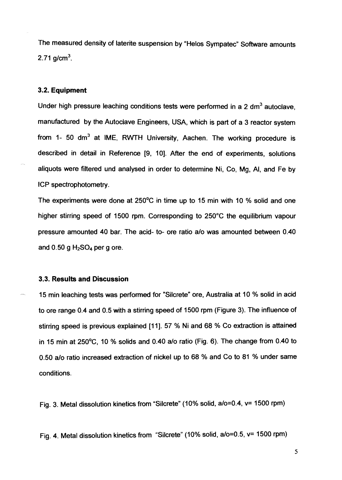The measured density of laterite suspension by "Helos Sympatec" Software amounts 2.71 g/cm<sup>3</sup>.

# **3.2. Equipment**

Under high pressure leaching conditions tests were performed in a 2 dm<sup>3</sup> autoclave. manufactured by the Autoclave Engineers, USA, which is part of a 3 reactor system from 1- 50 dm<sup>3</sup> at IME, RWTH University, Aachen. The working procedure is described in detail in Reference **[9,** 101. After the end of experiments, solutions aliquots were filtered und analysed in order to determine Ni, Co, Mg, Al, and Fe by ICP spectrophotometry.

The experiments were done at 250°C in time up to 15 min with 10 % solid and one higher stirring speed of 1500 rpm. Corresponding to 250°C the equilibrium vapour pressure amounted 40 bar. The acid- to- ore ratio alo was amounted between 0.40 and  $0.50$  g  $H<sub>2</sub>SO<sub>4</sub>$  per g ore.

# **3.3. Results and Discussion**

15 min leaching tests was performed for "Silcrete" ore, Australia at 10 % solid in acid to ore range 0.4 and 0.5 with a stirring speed of 1500 rpm (Figure 3). The influence of stirring speed is previous explained [11]. 57 % Ni and 68 % Co extraction is attained in 15 min at 250°C, 10 % solids and 0.40 alo ratio (Fig. 6). The change from 0.40 to 0.50 a/o ratio increased extraction of nickel up to 68 % and Co to 81 % under same conditions.

Fig. 3. Metal dissolution kinetics from "Silcrete" (10% solid, a/o=0.4, v= 1500 rpm)

Fig. 4. Metal dissolution kinetics from "Silcrete" (10% solid, a/o=0.5, v= 1500 rpm)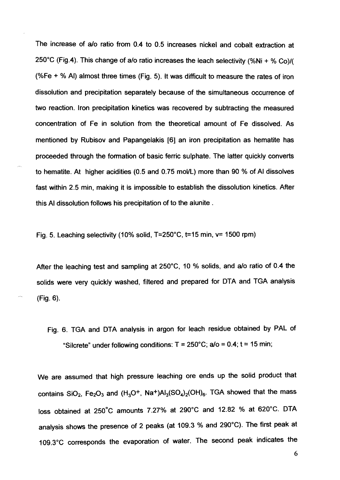The increase of a/o ratio from 0.4 to 0.5 increases nickel and cobalt extraction at 250°C (Fig.4). This change of a/o ratio increases the leach selectivity (%Ni + % Co)/( (%Fe  $+$  % AI) almost three times (Fig. 5). It was difficult to measure the rates of iron dissolution and precipitation separately because of the simultaneous occurrence of two reaction. lron precipitation kinetics was recovered by subtracting the measured concentration of Fe in solution from the theoretical amount of Fe dissolved. As mentioned by Rubisov and Papangelakis [6] an iron precipitation as hematite has proceeded through the fomation of basic ferric sulphate. The latter quickly converts to hematite. At higher acidities  $(0.5 \text{ and } 0.75 \text{ mol/L})$  more than 90 % of AI dissolves fast within 2.5 min, making it is impossible to establish the dissolution kinetics. After this Al dissolution follows his precipitation of to the alunite .

Fig. 5. Leaching selectivity (10% solid,  $T=250^{\circ}$ C, t=15 min, v= 1500 rpm)

-

After the leaching test and sampling at 250°C, 10 % solids, and a/o ratio of 0.4 the solids were very quickly washed, filtered and prepared for DTA and TGA analysis  $(Fig. 6)$ .

Fig. 6. TGA and DTA analysis in argon for leach residue obtained by PAL of "Silcrete" under following conditions:  $T = 250^{\circ}$ C; a/o = 0.4; t = 15 min;

We are assumed that high pressure leaching ore ends up the solid product that contains SiO<sub>2</sub>, Fe<sub>2</sub>O<sub>3</sub> and (H<sub>3</sub>O<sup>+</sup>, Na<sup>+</sup>)Al<sub>3</sub>(SO<sub>4</sub>)<sub>2</sub>(OH)<sub>6</sub>. TGA showed that the mass loss obtained at 250°C amounts 7.27% at 290°C and 12.82 % at 620°C. DTA analysis shows the presence of 2 peaks (at 109.3 % and 290°C). The first peak at 109.3"C corresponds the evaporation of water. The second peak indicates the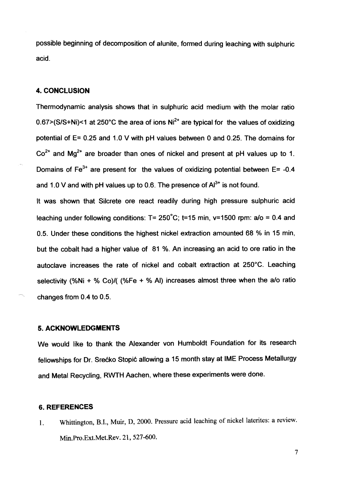possible beginning of decomposition of alunite, formed during leaching with sulphuric acid.

# **4. CONCLUSION**

Thermodynamic analysis shows that in sulphuric acid medium with the molar ratio  $0.67$  > (S/S+Ni) < 1 at 250°C the area of ions  $Ni<sup>2+</sup>$  are typical for the values of oxidizing potential of E= 0.25 and 1.0 V with pH values between 0 and 0.25. The domains for  $Co<sup>2+</sup>$  and Mg<sup>2+</sup> are broader than ones of nickel and present at pH values up to 1. Domains of  $Fe<sup>3+</sup>$  are present for the values of oxidizing potential between E= -0.4 and 1.0 V and with pH values up to 0.6. The presence of  $Al^{3+}$  is not found.

It was shown that Silcrete ore react readily during high pressure sulphuric acid leaching under following conditions:  $T = 250^{\circ}$ C; t=15 min, v=1500 rpm: a/o = 0.4 and 0.5. Under these conditions the highest nickel extraction amounted 68 % in 15 min, but the cobalt had a higher value of 81 %. An increasing an acid to ore ratio in the autoclave increases the rate of nickel and cobalt extraction at 250°C. Leaching selectivity (%Ni + % Co)/( (%Fe + % Al) increases almost three when the a/o ratio changes from  $0.4$  to  $0.5$ .

#### **5. ACKNOWLEDGMENTS**

We would like to thank the Alexander von Humboldt Foundation for its research fellowships for Dr. Srećko Stopić allowing a 15 month stay at IME Process Metallurgy and Metal Recycling, RWTH Aachen, where these experiments were done.

# **6. REFERENCES**

1. Whittington, B.I., Muir, D, 2000. Pressure acid leaching of nickel latentes: a review. Min.Pro.Ext.Met.Rev. 21,527-600.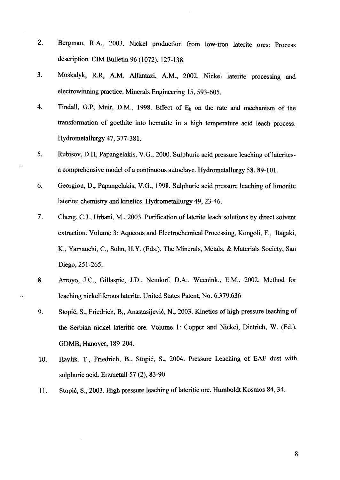- $2.$ Bergman, R.A., 2003. Nickel production fiom low-iron laterite ores: Process description. CIM Bulletin 96 (1072), 127-138.
- Moskalyk, R.R, A.M. Alfmtazi, A.M., 2002. Nickel latente processing md  $3<sub>1</sub>$ electrowinning practice. Minerals Engineering 15,593-605.
- $\overline{4}$ . Tindall, G.P, Muir, D.M., 1998. Effect of  $E_h$  on the rate and mechanism of the transformation of goethite into hematite in a **high** temperature acid leach process. Hydrometallurgy 47,377-38 1.
- 5. Rubisov, D.H, Papangelakis, V.G., 2000. Sulphuric acid pressure leaching of latentesa comprehensive model of a continuous autoclave. Hydrometallurgy 58, 89-101.
- 6. Georgiou, D., Papangelakis, V.G., 1998. Sulphuric acid pressure leaching of limonite laterite: chemistry and kinetics. Hydrometallurgy 49, 23-46.
- 7. Cheng, C.J., Urbani, M., 2003. Purification of latente leach solutions by direct solvent extraction. Volume 3: Aqueous and Electrochemical Processing, Kongoli, F., Itagaki, K., Yamauchi, C., Sohn, H.Y. (Eds.), The Minerals, Metals, & Materials Society, San Diego, 251-265.
- Arroyo, J.C., Gillaspie, J.D., Neudorf, D.A., Weenink., E.M., 2002. Method for 8. leaching nickeliferous laterite. United States Patent, No. 6.379.636
- Stopić, S., Friedrich, B., Anastasijević, N., 2003. Kinetics of high pressure leaching of 9. the Serbian nicke1 latentic ore. Volurne 1: Copper and Nickel, Dietrich, W. (Ed.), GDMB, Hanover, 189-204.
- Havlik, T., Friedrich, B., Stopić, S., 2004. Pressure Leaching of EAF dust with 10. sulphuric acid. Erzmetall 57 (2), 83-90.
- Stopić, S., 2003. High pressure leaching of lateritic ore. Humboldt Kosmos 84, 34. 11.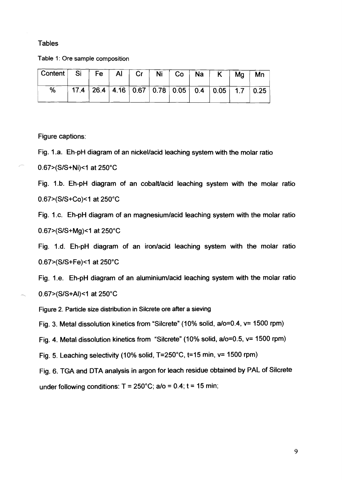# **Tables**

Table 1: Ore sample composition

| Content   Si   Fe   Al   Cr   Ni   Co   Na   K   Mg |  |  |  |                                                   | . Mn |
|-----------------------------------------------------|--|--|--|---------------------------------------------------|------|
| ℅                                                   |  |  |  | $17.4$ 26.4 4.16 0.67 0.78 0.05 0.4 0.05 1.7 0.25 |      |

Figure captions:

Fig. 1.a. Eh-pH diagram of an nickel/acid leaching system with the molar ratio 0.67>(S/S+Ni)<1 at 250°C

Fig. 1.b. Eh-pH diagram of an cobalt/acid leaching system with the molar ratio 0.67>(S/S+Co)<1 at 250°C

Fig. 1.c. Eh-pH diagram of an magnesium/acid leaching system with the molar ratio 0.67>(S/S+Mg)<1 at 250°C

Fig. 1.d. Eh-pH diagram of an iron/acid leaching system with the molar ratio 0.67>(S/S+Fe)<1 at 250°C

Fig. 1.e. Eh-pH diagram of an aluminiumlacid leaching system with the molar ratio 0.67>(S/S+Al)<1 at 250°C

Figure 2. Particle size distribution in Silcrete ore after a sieving

Fig. 3. Metal dissolution kinetics from "Silcrete" (10% solid,  $a/\infty$ =0.4,  $v$ = 1500 rpm)

Fig. 4. Metal dissolution kinetics from "Silcrete" (10% solid, a/o=0.5, v= 1500 rpm)

Fig. 5. Leaching selectivity (10% solid, T=250°C, t=15 min, v= 1500 rpm)

Fig. 6. TGA and DTA analysis in argon for leach residue obtained by PAL of Silcrete under following conditions:  $T = 250^{\circ}$ C; a/o = 0.4; t = 15 min;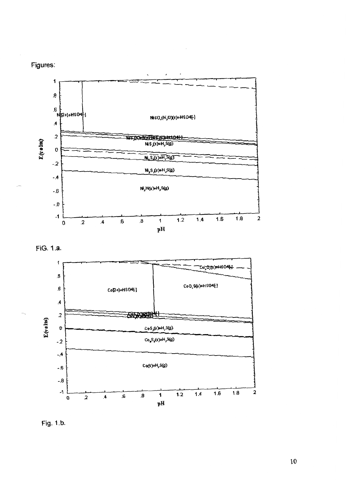







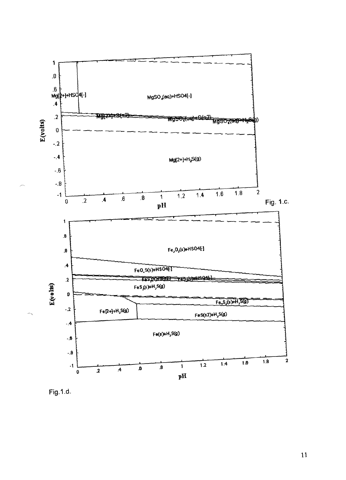

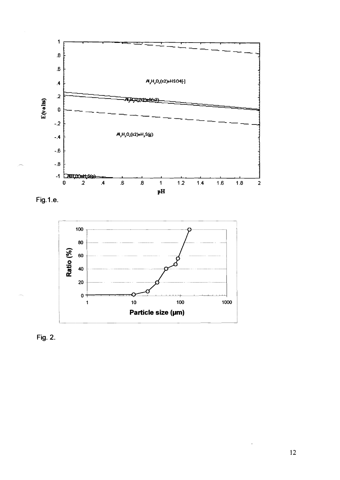

**Fig. 1 .e.** 



**Fig. 2.**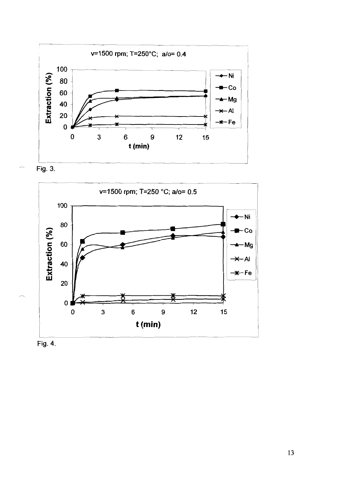